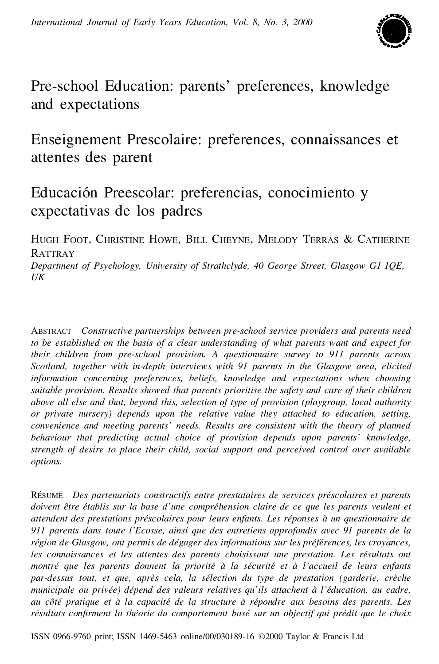

# Pre-school Education: parents' preferences, knowledge and expectations

Enseignement Prescolaire: preferences, connaissances et attentes des parent

# Educación Preescolar: preferencias, conocimiento y expectativas de los padres

HUGH FOOT, CHRISTINE HOWE, BILL CHEYNE, MELODY TERRAS & CATHERINE RATTRAY

*Department of Psychology, University of Strathclyde, 40 George Street, Glasgow G1 1QE, UK*

ABSTRACT *Constructive partnerships between pre-school service providers and parents need to be established on the basis of a clear understanding of what parents want and expect for their children from pre-school provision. A questionnaire survey to 911 parents across Scotland, together with in-depth interviews with 91 parents in the Glasgow area, elicited information concerning preferences, beliefs, knowledge and expectations when choosing suitable provision. Results showed that parents prioritise the safety and care of their children above all else and that, beyond this, selection of type of provision (playgroup, local authority or private nursery) depends upon the relative value they attached to education, setting, convenience and meeting parents' needs. Results are consistent with the theory of planned behaviour that predicting actual choice of provision depends upon parents' knowledge, strength of desire to place their child, social support and perceived control over available options.*

RE´SUME´ *Des partenariats constructifs entre prestataires de services pre´scolaires et parents doivent eˆtre e´tablis sur la base d'une compre´hension claire de ce que les parents veulent et attendent des prestations pre´scolaires pour leurs enfants. Les re´ponses a` un questionnaire de 911 parents dans toute l'Ecosse, ainsi que des entretiens approfondis avec 91 parents de la re´gion de Glasgow, ont permis de de´gager des informations sur les pre´fe´rences, les croyances, les connaissances et les attentes des parents choisissant une prestation. Les re´sultats ont montre´ que les parents donnent la priorite´ a` la se´curite´ et a` l'accueil de leurs enfants par-dessus tout, et que, apre`s cela, la se´lection du type de prestation (garderie, cre`che municipale ou prive´e) de´pend des valeurs relatives qu'ils attachent a` l'e´ducation, au cadre, au coˆte´ pratique et a` la capacite´ de la structure a` re´pondre aux besoins des parents. Les re´sultats conrment la the´orie du comportement base´ sur un objectif qui pre´dit que le choix*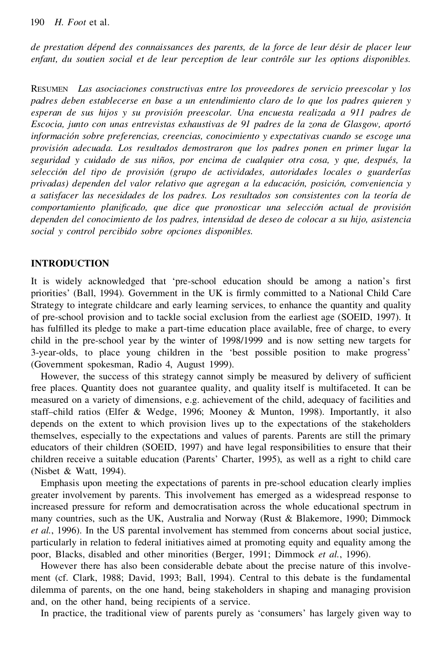*de prestation de´pend des connaissances des parents, de la force de leur de´sir de placer leur enfant, du soutien social et de leur perception de leur controˆle sur les options disponibles.*

RESUMEN *Las asociaciones constructivas entre los proveedores de servicio preescolar y los padres deben establecerse en base a un entendimiento claro de lo que los padres quieren y esperan de sus hijos y su provisio´ n preescolar. Una encuesta realizada a 911 padres de Escocia, junto con unas entrevistas exhaustivas de 91 padres de la zona de Glasgow, aporto´ informacio´n sobre preferencias, creencias, conocimiento y expectativas cuando se escoge una provisio´n adecuada. Los resultados demostraron que los padres ponen en primer lugar la seguridad y cuidado de sus nin˜os, por encima de cualquier otra cosa, y que, despue´s, la seleccio´n del tipo de provisio´n (grupo de actividades, autoridades locales o guarderi´as privadas) dependen del valor relativo que agregan a la educacio´n, posicio´ n, conveniencia y a satisfacer las necesidades de los padres. Los resultados son consistentes con la teori´a de comportamiento plani cado, que dice que pronosticar una seleccio´n actual de provisio´ n dependen del conocimiento de los padres, intensidad de deseo de colocar a su hijo, asistencia social y control percibido sobre opciones disponibles.*

## **INTRODUCTION**

It is widely acknowledged that 'pre-school education should be among a nation's first priorities' (Ball, 1994). Government in the UK is firmly committed to a National Child Care Strategy to integrate childcare and early learning services, to enhance the quantity and quality of pre-school provision and to tackle social exclusion from the earliest age (SOEID, 1997). It has ful filled its pledge to make a part-time education place available, free of charge, to every child in the pre-school year by the winter of 1998/1999 and is now setting new targets for 3-year-olds, to place young children in the 'best possible position to make progress' (Government spokesman, Radio 4, August 1999).

However, the success of this strategy cannot simply be measured by delivery of sufficient free places. Quantity does not guarantee quality, and quality itself is multifaceted. It can be measured on a variety of dimensions, e.g. achievement of the child, adequacy of facilities and staff–child ratios (Elfer & Wedge, 1996; Mooney & Munton, 1998). Importantly, it also depends on the extent to which provision lives up to the expectations of the stakeholders themselves, especially to the expectations and values of parents. Parents are still the primary educators of their children (SOEID, 1997) and have legal responsibilities to ensure that their children receive a suitable education (Parents' Charter, 1995), as well as a right to child care (Nisbet & Watt, 1994).

Emphasis upon meeting the expectations of parents in pre-school education clearly implies greater involvement by parents. This involvement has emerged as a widespread response to increased pressure for reform and democratisation across the whole educational spectrum in many countries, such as the UK, Australia and Norway (Rust & Blakemore, 1990; Dimmock *et al.*, 1996). In the US parental involvement has stemmed from concerns about social justice, particularly in relation to federal initiatives aimed at promoting equity and equality among the poor, Blacks, disabled and other minorities (Berger, 1991; Dimmock *et al.*, 1996).

However there has also been considerable debate about the precise nature of this involvement (cf. Clark, 1988; David, 1993; Ball, 1994). Central to this debate is the fundamental dilemma of parents, on the one hand, being stakeholders in shaping and managing provision and, on the other hand, being recipients of a service.

In practice, the traditional view of parents purely as 'consumers' has largely given way to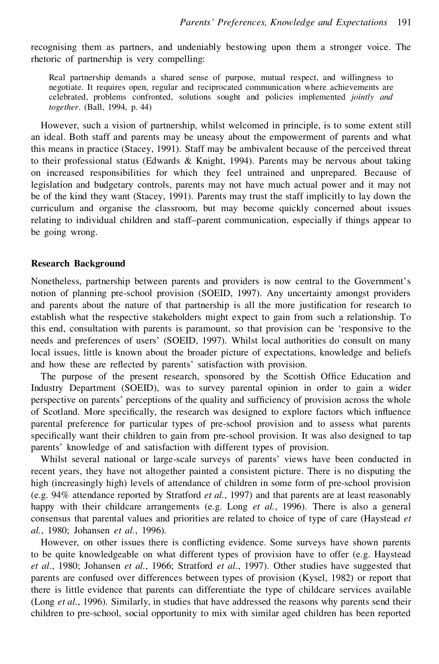recognising them as partners, and undeniably bestowing upon them a stronger voice. The rhetoric of partnership is very compelling:

Real partnership demands a shared sense of purpose, mutual respect, and willingness to negotiate. It requires open, regular and reciprocated communication where achievements are celebrated, problems confronted, solutions sought and policies implemented *jointly and together*. (Ball, 1994, p. 44)

However, such a vision of partnership, whilst welcomed in principle, is to some extent still an ideal. Both staff and parents may be uneasy about the empowerment of parents and what this means in practice (Stacey, 1991). Staff may be ambivalent because of the perceived threat to their professional status (Edwards & Knight, 1994). Parents may be nervous about taking on increased responsibilities for which they feel untrained and unprepared. Because of legislation and budgetary controls, parents may not have much actual power and it may not be of the kind they want (Stacey, 1991). Parents may trust the staff implicitly to lay down the curriculum and organise the classroom, but may become quickly concerned about issues relating to individual children and staff–parent communication, especially if things appear to be going wrong.

## **Research Background**

Nonetheless, partnership between parents and providers is now central to the Government's notion of planning pre-school provision (SOEID, 1997). Any uncertainty amongst providers and parents about the nature of that partnership is all the more justification for research to establish what the respective stakeholders might expect to gain from such a relationship. To this end, consultation with parents is paramount, so that provision can be 'responsive to the needs and preferences of users' (SOEID, 1997). Whilst local authorities do consult on many local issues, little is known about the broader picture of expectations, knowledge and beliefs and how these are reflected by parents' satisfaction with provision.

The purpose of the present research, sponsored by the Scottish Office Education and Industry Department (SOEID), was to survey parental opinion in order to gain a wider perspective on parents' perceptions of the quality and sufficiency of provision across the whole of Scotland. More specifically, the research was designed to explore factors which influence parental preference for particular types of pre-school provision and to assess what parents specifically want their children to gain from pre-school provision. It was also designed to tap parents' knowledge of and satisfaction with different types of provision.

Whilst several national or large-scale surveys of parents' views have been conducted in recent years, they have not altogether painted a consistent picture. There is no disputing the high (increasingly high) levels of attendance of children in some form of pre-school provision (e.g. 94% attendance reported by Stratford *et al.*, 1997) and that parents are at least reasonably happy with their childcare arrangements (e.g. Long *et al.*, 1996). There is also a general consensus that parental values and priorities are related to choice of type of care (Haystead *et al.*, 1980; Johansen *et al.*, 1996).

However, on other issues there is conflicting evidence. Some surveys have shown parents to be quite knowledgeable on what different types of provision have to offer (e.g. Haystead *et al.*, 1980; Johansen *et al.*, 1966; Stratford *et al.*, 1997). Other studies have suggested that parents are confused over differences between types of provision (Kysel, 1982) or report that there is little evidence that parents can differentiate the type of childcare services available (Long *et al.*, 1996). Similarly, in studies that have addressed the reasons why parents send their children to pre-school, social opportunity to mix with similar aged children has been reported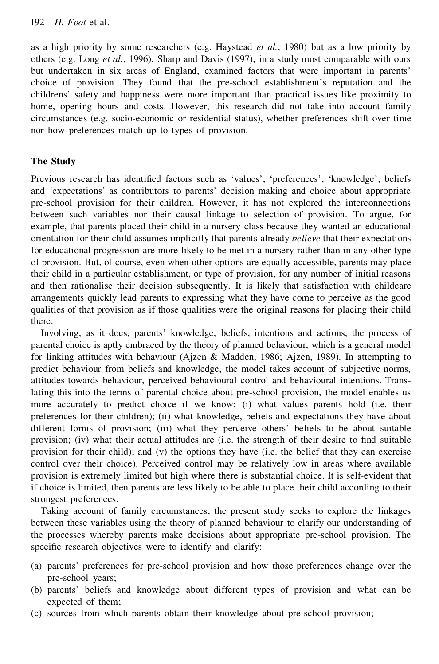as a high priority by some researchers (e.g. Haystead *et al.*, 1980) but as a low priority by others (e.g. Long *et al.*, 1996). Sharp and Davis (1997), in a study most comparable with ours but undertaken in six areas of England, examined factors that were important in parents' choice of provision. They found that the pre-school establishment's reputation and the childrens' safety and happiness were more important than practical issues like proximity to home, opening hours and costs. However, this research did not take into account family circumstances (e.g. socio-economic or residential status), whether preferences shift over time nor how preferences match up to types of provision.

## **The Study**

Previous research has identified factors such as 'values', 'preferences', 'knowledge', beliefs and 'expectations' as contributors to parents' decision making and choice about appropriate pre-school provision for their children. However, it has not explored the interconnections between such variables nor their causal linkage to selection of provision. To argue, for example, that parents placed their child in a nursery class because they wanted an educational orientation for their child assumes implicitly that parents already *believe* that their expectations for educational progression are more likely to be met in a nursery rather than in any other type of provision. But, of course, even when other options are equally accessible, parents may place their child in a particular establishment, or type of provision, for any number of initial reasons and then rationalise their decision subsequently. It is likely that satisfaction with childcare arrangements quickly lead parents to expressing what they have come to perceive as the good qualities of that provision as if those qualities were the original reasons for placing their child there.

Involving, as it does, parents' knowledge, beliefs, intentions and actions, the process of parental choice is aptly embraced by the theory of planned behaviour, which is a general model for linking attitudes with behaviour (Ajzen & Madden, 1986; Ajzen, 1989). In attempting to predict behaviour from beliefs and knowledge, the model takes account of subjective norms, attitudes towards behaviour, perceived behavioural control and behavioural intentions. Translating this into the terms of parental choice about pre-school provision, the model enables us more accurately to predict choice if we know: (i) what values parents hold (i.e. their preferences for their children); (ii) what knowledge, beliefs and expectations they have about different forms of provision; (iii) what they perceive others' beliefs to be about suitable provision; (iv) what their actual attitudes are (i.e. the strength of their desire to find suitable provision for their child); and (v) the options they have (i.e. the belief that they can exercise control over their choice). Perceived control may be relatively low in areas where available provision is extremely limited but high where there is substantial choice. It is self-evident that if choice is limited, then parents are less likely to be able to place their child according to their strongest preferences.

Taking account of family circumstances, the present study seeks to explore the linkages between these variables using the theory of planned behaviour to clarify our understanding of the processes whereby parents make decisions about appropriate pre-school provision. The specific research objectives were to identify and clarify:

- (a) parents' preferences for pre-school provision and how those preferences change over the pre-school years;
- (b) parents' beliefs and knowledge about different types of provision and what can be expected of them;
- (c) sources from which parents obtain their knowledge about pre-school provision;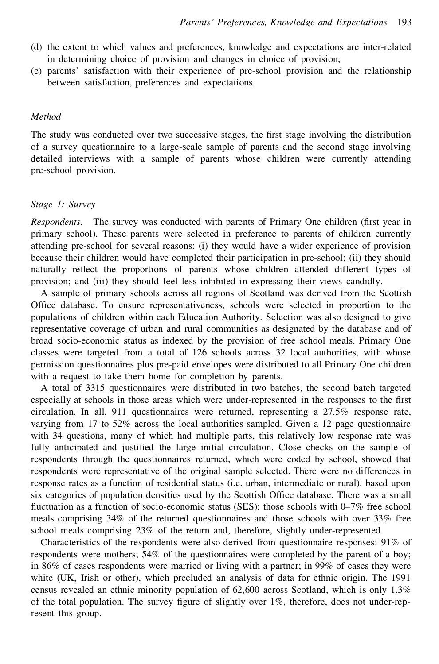- (d) the extent to which values and preferences, knowledge and expectations are inter-related in determining choice of provision and changes in choice of provision;
- (e) parents' satisfaction with their experience of pre-school provision and the relationship between satisfaction, preferences and expectations.

## *Method*

The study was conducted over two successive stages, the first stage involving the distribution of a survey questionnaire to a large-scale sample of parents and the second stage involving detailed interviews with a sample of parents whose children were currently attending pre-school provision.

### *Stage 1: Survey*

*Respondents.* The survey was conducted with parents of Primary One children (first year in primary school). These parents were selected in preference to parents of children currently attending pre-school for several reasons: (i) they would have a wider experience of provision because their children would have completed their participation in pre-school; (ii) they should naturally reflect the proportions of parents whose children attended different types of provision; and (iii) they should feel less inhibited in expressing their views candidly.

A sample of primary schools across all regions of Scotland was derived from the Scottish Office database. To ensure representativeness, schools were selected in proportion to the populations of children within each Education Authority. Selection was also designed to give representative coverage of urban and rural communities as designated by the database and of broad socio-economic status as indexed by the provision of free school meals. Primary One classes were targeted from a total of 126 schools across 32 local authorities, with whose permission questionnaires plus pre-paid envelopes were distributed to all Primary One children with a request to take them home for completion by parents.

A total of 3315 questionnaires were distributed in two batches, the second batch targeted especially at schools in those areas which were under-represented in the responses to the first circulation. In all, 911 questionnaires were returned, representing a 27.5% response rate, varying from 17 to 52% across the local authorities sampled. Given a 12 page questionnaire with 34 questions, many of which had multiple parts, this relatively low response rate was fully anticipated and justified the large initial circulation. Close checks on the sample of respondents through the questionnaires returned, which were coded by school, showed that respondents were representative of the original sample selected. There were no differences in response rates as a function of residential status (i.e. urban, intermediate or rural), based upon six categories of population densities used by the Scottish Office database. There was a small fluctuation as a function of socio-economic status (SES): those schools with 0–7% free school meals comprising 34% of the returned questionnaires and those schools with over 33% free school meals comprising 23% of the return and, therefore, slightly under-represented.

Characteristics of the respondents were also derived from questionnaire responses: 91% of respondents were mothers; 54% of the questionnaires were completed by the parent of a boy; in 86% of cases respondents were married or living with a partner; in 99% of cases they were white (UK, Irish or other), which precluded an analysis of data for ethnic origin. The 1991 census revealed an ethnic minority population of 62,600 across Scotland, which is only 1.3% of the total population. The survey figure of slightly over  $1\%$ , therefore, does not under-represent this group.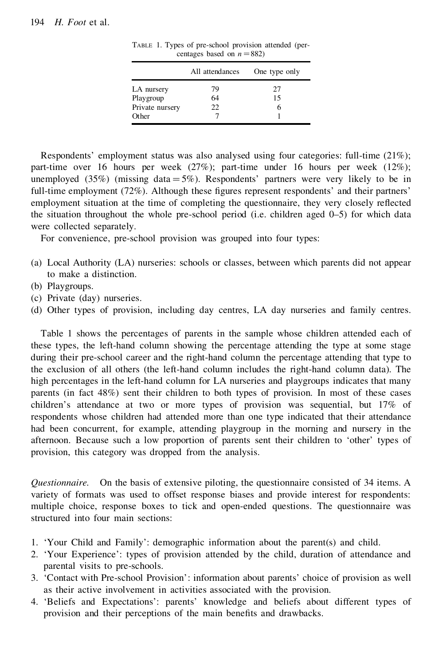|                 | All attendances | One type only |
|-----------------|-----------------|---------------|
| LA nursery      | 79              | 27            |
| Playgroup       | 64              | 15            |
| Private nursery | 22.             |               |
| Other           |                 |               |

TABLE 1. Types of pre-school provision attended (percentages based on  $n = 882$ )

Respondents' employment status was also analysed using four categories: full-time (21%); part-time over 16 hours per week (27%); part-time under 16 hours per week (12%); unemployed  $(35%)$  (missing data = 5%). Respondents' partners were very likely to be in full-time employment  $(72\%)$ . Although these figures represent respondents' and their partners' employment situation at the time of completing the questionnaire, they very closely reflected the situation throughout the whole pre-school period (i.e. children aged 0–5) for which data were collected separately.

For convenience, pre-school provision was grouped into four types:

- (a) Local Authority (LA) nurseries: schools or classes, between which parents did not appear to make a distinction.
- (b) Playgroups.
- (c) Private (day) nurseries.
- (d) Other types of provision, including day centres, LA day nurseries and family centres.

Table 1 shows the percentages of parents in the sample whose children attended each of these types, the left-hand column showing the percentage attending the type at some stage during their pre-school career and the right-hand column the percentage attending that type to the exclusion of all others (the left-hand column includes the right-hand column data). The high percentages in the left-hand column for LA nurseries and playgroups indicates that many parents (in fact 48%) sent their children to both types of provision. In most of these cases children's attendance at two or more types of provision was sequential, but 17% of respondents whose children had attended more than one type indicated that their attendance had been concurrent, for example, attending playgroup in the morning and nursery in the afternoon. Because such a low proportion of parents sent their children to 'other' types of provision, this category was dropped from the analysis.

*Questionnaire.* On the basis of extensive piloting, the questionnaire consisted of 34 items. A variety of formats was used to offset response biases and provide interest for respondents: multiple choice, response boxes to tick and open-ended questions. The questionnaire was structured into four main sections:

- 1. 'Your Child and Family': demographic information about the parent(s) and child.
- 2. 'Your Experience': types of provision attended by the child, duration of attendance and parental visits to pre-schools.
- 3. 'Contact with Pre-school Provision': information about parents' choice of provision as well as their active involvement in activities associated with the provision.
- 4. 'Beliefs and Expectations': parents' knowledge and beliefs about different types of provision and their perceptions of the main benefits and drawbacks.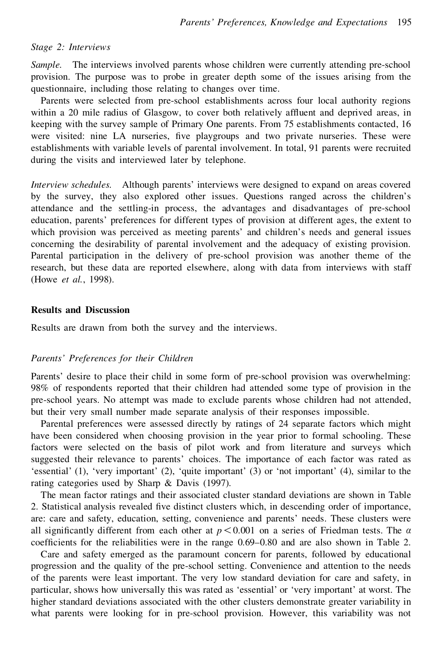## *Stage 2: Interviews*

*Sample.* The interviews involved parents whose children were currently attending pre-school provision. The purpose was to probe in greater depth some of the issues arising from the questionnaire, including those relating to changes over time.

Parents were selected from pre-school establishments across four local authority regions within a 20 mile radius of Glasgow, to cover both relatively affluent and deprived areas, in keeping with the survey sample of Primary One parents. From 75 establishments contacted, 16 were visited: nine LA nurseries, five playgroups and two private nurseries. These were establishments with variable levels of parental involvement. In total, 91 parents were recruited during the visits and interviewed later by telephone.

*Interview schedules.* Although parents' interviews were designed to expand on areas covered by the survey, they also explored other issues. Questions ranged across the children's attendance and the settling-in process, the advantages and disadvantages of pre-school education, parents' preferences for different types of provision at different ages, the extent to which provision was perceived as meeting parents' and children's needs and general issues concerning the desirability of parental involvement and the adequacy of existing provision. Parental participation in the delivery of pre-school provision was another theme of the research, but these data are reported elsewhere, along with data from interviews with staff (Howe *et al.*, 1998).

#### **Results and Discussion**

Results are drawn from both the survey and the interviews.

### *Parents' Preferences for their Children*

Parents' desire to place their child in some form of pre-school provision was overwhelming: 98% of respondents reported that their children had attended some type of provision in the pre-school years. No attempt was made to exclude parents whose children had not attended, but their very small number made separate analysis of their responses impossible.

Parental preferences were assessed directly by ratings of 24 separate factors which might have been considered when choosing provision in the year prior to formal schooling. These factors were selected on the basis of pilot work and from literature and surveys which suggested their relevance to parents' choices. The importance of each factor was rated as 'essential' (1), 'very important' (2), 'quite important' (3) or 'not important' (4), similar to the rating categories used by Sharp & Davis (1997).

The mean factor ratings and their associated cluster standard deviations are shown in Table 2. Statistical analysis revealed five distinct clusters which, in descending order of importance, are: care and safety, education, setting, convenience and parents' needs. These clusters were all significantly different from each other at  $p < 0.001$  on a series of Friedman tests. The  $\alpha$ coefficients for the reliabilities were in the range  $0.69-0.80$  and are also shown in Table 2.

Care and safety emerged as the paramount concern for parents, followed by educational progression and the quality of the pre-school setting. Convenience and attention to the needs of the parents were least important. The very low standard deviation for care and safety, in particular, shows how universally this was rated as 'essential' or 'very important' at worst. The higher standard deviations associated with the other clusters demonstrate greater variability in what parents were looking for in pre-school provision. However, this variability was not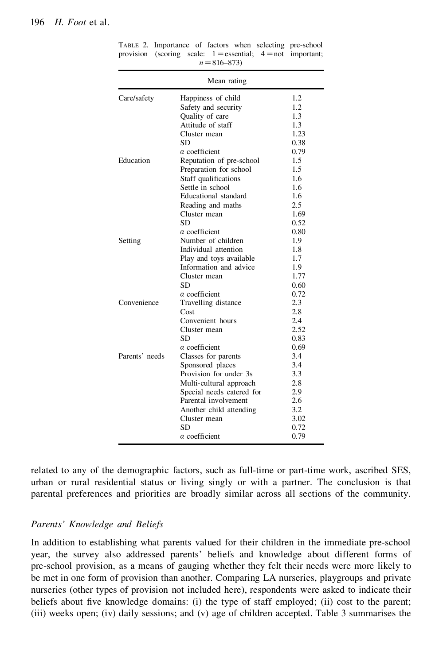| Mean rating    |                           |      |  |
|----------------|---------------------------|------|--|
| Care/safety    | Happiness of child        | 1.2  |  |
|                | Safety and security       | 1.2  |  |
|                | Quality of care           | 1.3  |  |
|                | Attitude of staff         | 1.3  |  |
|                | Cluster mean              | 1.23 |  |
|                | SD                        | 0.38 |  |
|                | $\alpha$ coefficient      | 0.79 |  |
| Education      | Reputation of pre-school  | 1.5  |  |
|                | Preparation for school    | 1.5  |  |
|                | Staff qualifications      | 1.6  |  |
|                | Settle in school          | 1.6  |  |
|                | Educational standard      | 1.6  |  |
|                | Reading and maths         | 2.5  |  |
|                | Cluster mean              | 1.69 |  |
|                | SD                        | 0.52 |  |
|                | $\alpha$ coefficient      | 0.80 |  |
| Setting        | Number of children        | 1.9  |  |
|                | Individual attention      | 1.8  |  |
|                | Play and toys available   | 1.7  |  |
|                | Information and advice    | 1.9  |  |
|                | Cluster mean              | 1.77 |  |
|                | SD                        | 0.60 |  |
|                | $\alpha$ coefficient      | 0.72 |  |
| Convenience    | Travelling distance       | 2.3  |  |
|                | Cost                      | 2.8  |  |
|                | Convenient hours          | 2.4  |  |
|                | Cluster mean              | 2.52 |  |
|                | SD                        | 0.83 |  |
|                | $\alpha$ coefficient      | 0.69 |  |
| Parents' needs | Classes for parents       | 3.4  |  |
|                | Sponsored places          | 3.4  |  |
|                | Provision for under 3s    | 3.3  |  |
|                | Multi-cultural approach   | 2.8  |  |
|                | Special needs catered for | 2.9  |  |
|                | Parental involvement      | 2.6  |  |
|                | Another child attending   | 3.2  |  |
|                | Cluster mean              | 3.02 |  |
|                | SD.                       | 0.72 |  |
|                | $\alpha$ coefficient      | 0.79 |  |

TABLE 2. Importance of factors when selecting pre-school provision (scoring scale:  $1 =$  essential;  $4 =$  not important;  $n = 816 - 873$ 

related to any of the demographic factors, such as full-time or part-time work, ascribed SES, urban or rural residential status or living singly or with a partner. The conclusion is that parental preferences and priorities are broadly similar across all sections of the community.

## *Parents' Knowledge and Beliefs*

In addition to establishing what parents valued for their children in the immediate pre-school year, the survey also addressed parents' beliefs and knowledge about different forms of pre-school provision, as a means of gauging whether they felt their needs were more likely to be met in one form of provision than another. Comparing LA nurseries, playgroups and private nurseries (other types of provision not included here), respondents were asked to indicate their beliefs about five knowledge domains: (i) the type of staff employed; (ii) cost to the parent; (iii) weeks open; (iv) daily sessions; and (v) age of children accepted. Table 3 summarises the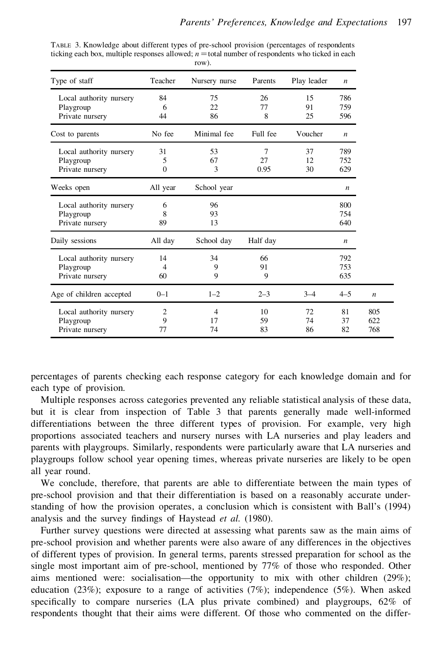| Type of staff            | Teacher        | Nursery nurse  | Parents  | Play leader | $\boldsymbol{n}$ |
|--------------------------|----------------|----------------|----------|-------------|------------------|
| Local authority nursery  | 84             | 75             | 26       | 15          | 786              |
| Playgroup                | 6              | 22             | 77       | 91          | 759              |
| Private nursery          | 44             | 86             | 8        | 25          | 596              |
| Cost to parents          | No fee         | Minimal fee    | Full fee | Voucher     | n                |
| Local authority nursery  | 31             | 53             | 7        | 37          | 789              |
| Playgroup                | 5              | 67             | 27       | 12          | 752              |
| Private nursery          | $\Omega$       | 3              | 0.95     | 30          | 629              |
| Weeks open               | All year       | School year    |          |             | $\boldsymbol{n}$ |
| Local authority nursery  | 6              | 96             |          |             | 800              |
| Playgroup                | 8              | 93             |          |             | 754              |
| Private nursery          | 89             | 13             |          |             | 640              |
| Daily sessions           | All day        | School day     | Half day |             | $\boldsymbol{n}$ |
| Local authority nursery  | 14             | 34             | 66       |             | 792              |
| Playgroup                | $\overline{4}$ | 9              | 91       |             | 753              |
| Private nursery          | 60             | 9              | 9        |             | 635              |
| Age of children accepted | $0 - 1$        | $1 - 2$        | $2 - 3$  | $3 - 4$     | $4 - 5$          |
| Local authority nursery  | $\overline{2}$ | $\overline{4}$ | 10       | 72          | 81               |
| Playgroup                | 9              | 17             | 59       | 74          | 37               |
| Private nursery          | 77             | 74             | 83       | 86          | 82               |

TABLE 3. Knowledge about different types of pre-school provision (percentages of respondents ticking each box, multiple responses allowed;  $n =$  total number of respondents who ticked in each row).

percentages of parents checking each response category for each knowledge domain and for each type of provision.

Multiple responses across categories prevented any reliable statistical analysis of these data, but it is clear from inspection of Table 3 that parents generally made well-informed differentiations between the three different types of provision. For example, very high proportions associated teachers and nursery nurses with LA nurseries and play leaders and parents with playgroups. Similarly, respondents were particularly aware that LA nurseries and playgroups follow school year opening times, whereas private nurseries are likely to be open all year round.

We conclude, therefore, that parents are able to differentiate between the main types of pre-school provision and that their differentiation is based on a reasonably accurate understanding of how the provision operates, a conclusion which is consistent with Ball's (1994) analysis and the survey findings of Haystead *et al.* (1980).

Further survey questions were directed at assessing what parents saw as the main aims of pre-school provision and whether parents were also aware of any differences in the objectives of different types of provision. In general terms, parents stressed preparation for school as the single most important aim of pre-school, mentioned by 77% of those who responded. Other aims mentioned were: socialisation—the opportunity to mix with other children (29%); education  $(23\%)$ ; exposure to a range of activities  $(7\%)$ ; independence  $(5\%)$ . When asked specifically to compare nurseries (LA plus private combined) and playgroups,  $62\%$  of respondents thought that their aims were different. Of those who commented on the differ-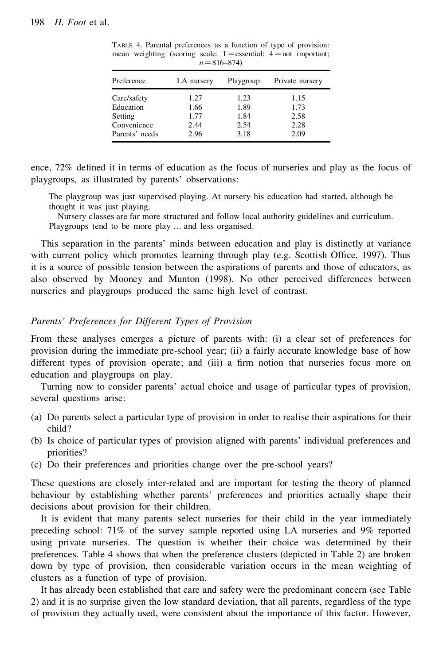| Preference     | LA nursery | Playgroup | Private nursery |
|----------------|------------|-----------|-----------------|
| Care/safety    | 1.27       | 1.23      | 1.15            |
| Education      | 1.66       | 1.89      | 1.73            |
| Setting        | 1.77       | 1.84      | 2.58            |
| Convenience    | 2.44       | 2.54      | 2.28            |
| Parents' needs | 2.96       | 3.18      | 2.09            |

TABLE 4. Parental preferences as a function of type of provision: mean weighting (scoring scale:  $1 =$  essential;  $4 =$  not important;  $n = 816 - 874$ 

ence, 72% defined it in terms of education as the focus of nurseries and play as the focus of playgroups, as illustrated by parents' observations:

The playgroup was just supervised playing. At nursery his education had started, although he thought it was just playing.

Nursery classes are far more structured and follow local authority guidelines and curriculum. Playgroups tend to be more play … and less organised.

This separation in the parents' minds between education and play is distinctly at variance with current policy which promotes learning through play (e.g. Scottish Office, 1997). Thus it is a source of possible tension between the aspirations of parents and those of educators, as also observed by Mooney and Munton (1998). No other perceived differences between nurseries and playgroups produced the same high level of contrast.

## *Parents' Preferences for Different Types of Provision*

From these analyses emerges a picture of parents with: (i) a clear set of preferences for provision during the immediate pre-school year; (ii) a fairly accurate knowledge base of how different types of provision operate; and (iii) a firm notion that nurseries focus more on education and playgroups on play.

Turning now to consider parents' actual choice and usage of particular types of provision, several questions arise:

- (a) Do parents select a particular type of provision in order to realise their aspirations for their child?
- (b) Is choice of particular types of provision aligned with parents' individual preferences and priorities?
- (c) Do their preferences and priorities change over the pre-school years?

These questions are closely inter-related and are important for testing the theory of planned behaviour by establishing whether parents' preferences and priorities actually shape their decisions about provision for their children.

It is evident that many parents select nurseries for their child in the year immediately preceding school: 71% of the survey sample reported using LA nurseries and 9% reported using private nurseries. The question is whether their choice was determined by their preferences. Table 4 shows that when the preference clusters (depicted in Table 2) are broken down by type of provision, then considerable variation occurs in the mean weighting of clusters as a function of type of provision.

It has already been established that care and safety were the predominant concern (see Table 2) and it is no surprise given the low standard deviation, that all parents, regardless of the type of provision they actually used, were consistent about the importance of this factor. However,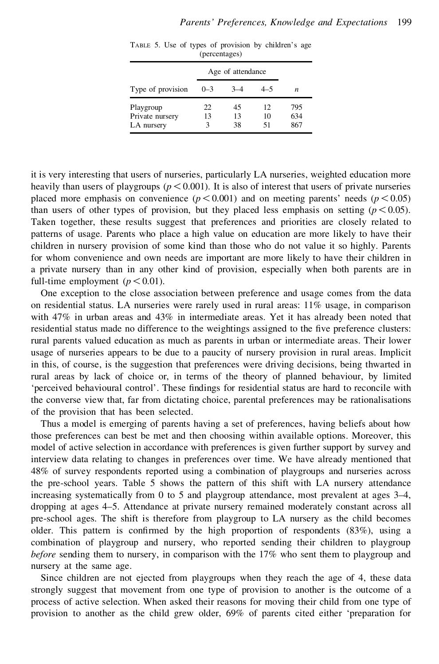|                   | Age of attendance |         |         |     |
|-------------------|-------------------|---------|---------|-----|
| Type of provision | $0 - 3$           | $3 - 4$ | $4 - 5$ | n   |
| Playgroup         | 22                | 45      | 12      | 795 |
| Private nursery   | 13                | 13      | 10      | 634 |
| LA nursery        | ٩                 | 38      | 51      | 867 |

TABLE 5. Use of types of provision by children's age (percentages)

it is very interesting that users of nurseries, particularly LA nurseries, weighted education more heavily than users of playgroups ( $p < 0.001$ ). It is also of interest that users of private nurseries placed more emphasis on convenience  $(p<0.001)$  and on meeting parents' needs  $(p<0.05)$ than users of other types of provision, but they placed less emphasis on setting  $(p<0.05)$ . Taken together, these results suggest that preferences and priorities are closely related to patterns of usage. Parents who place a high value on education are more likely to have their children in nursery provision of some kind than those who do not value it so highly. Parents for whom convenience and own needs are important are more likely to have their children in a private nursery than in any other kind of provision, especially when both parents are in full-time employment  $(p < 0.01)$ .

One exception to the close association between preference and usage comes from the data on residential status. LA nurseries were rarely used in rural areas: 11% usage, in comparison with 47% in urban areas and 43% in intermediate areas. Yet it has already been noted that residential status made no difference to the weightings assigned to the five preference clusters: rural parents valued education as much as parents in urban or intermediate areas. Their lower usage of nurseries appears to be due to a paucity of nursery provision in rural areas. Implicit in this, of course, is the suggestion that preferences were driving decisions, being thwarted in rural areas by lack of choice or, in terms of the theory of planned behaviour, by limited 'perceived behavioural control'. These findings for residential status are hard to reconcile with the converse view that, far from dictating choice, parental preferences may be rationalisations of the provision that has been selected.

Thus a model is emerging of parents having a set of preferences, having beliefs about how those preferences can best be met and then choosing within available options. Moreover, this model of active selection in accordance with preferences is given further support by survey and interview data relating to changes in preferences over time. We have already mentioned that 48% of survey respondents reported using a combination of playgroups and nurseries across the pre-school years. Table 5 shows the pattern of this shift with LA nursery attendance increasing systematically from 0 to 5 and playgroup attendance, most prevalent at ages  $3-4$ , dropping at ages 4–5. Attendance at private nursery remained moderately constant across all pre-school ages. The shift is therefore from playgroup to LA nursery as the child becomes older. This pattern is confirmed by the high proportion of respondents  $(83\%)$ , using a combination of playgroup and nursery, who reported sending their children to playgroup *before* sending them to nursery, in comparison with the 17% who sent them to playgroup and nursery at the same age.

Since children are not ejected from playgroups when they reach the age of 4, these data strongly suggest that movement from one type of provision to another is the outcome of a process of active selection. When asked their reasons for moving their child from one type of provision to another as the child grew older, 69% of parents cited either 'preparation for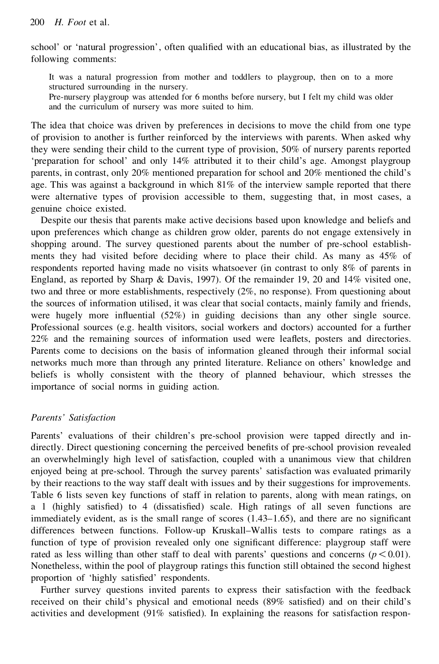school' or 'natural progression', often qualified with an educational bias, as illustrated by the following comments:

It was a natural progression from mother and toddlers to playgroup, then on to a more structured surrounding in the nursery.

Pre-nursery playgroup was attended for 6 months before nursery, but I felt my child was older and the curriculum of nursery was more suited to him.

The idea that choice was driven by preferences in decisions to move the child from one type of provision to another is further reinforced by the interviews with parents. When asked why they were sending their child to the current type of provision, 50% of nursery parents reported 'preparation for school' and only 14% attributed it to their child's age. Amongst playgroup parents, in contrast, only 20% mentioned preparation for school and 20% mentioned the child's age. This was against a background in which 81% of the interview sample reported that there were alternative types of provision accessible to them, suggesting that, in most cases, a genuine choice existed.

Despite our thesis that parents make active decisions based upon knowledge and beliefs and upon preferences which change as children grow older, parents do not engage extensively in shopping around. The survey questioned parents about the number of pre-school establishments they had visited before deciding where to place their child. As many as 45% of respondents reported having made no visits whatsoever (in contrast to only 8% of parents in England, as reported by Sharp & Davis, 1997). Of the remainder 19, 20 and 14% visited one, two and three or more establishments, respectively (2%, no response). From questioning about the sources of information utilised, it was clear that social contacts, mainly family and friends, were hugely more influential  $(52%)$  in guiding decisions than any other single source. Professional sources (e.g. health visitors, social workers and doctors) accounted for a further 22% and the remaining sources of information used were leaflets, posters and directories. Parents come to decisions on the basis of information gleaned through their informal social networks much more than through any printed literature. Reliance on others' knowledge and beliefs is wholly consistent with the theory of planned behaviour, which stresses the importance of social norms in guiding action.

## *Parents' Satisfaction*

Parents' evaluations of their children's pre-school provision were tapped directly and indirectly. Direct questioning concerning the perceived benefits of pre-school provision revealed an overwhelmingly high level of satisfaction, coupled with a unanimous view that children enjoyed being at pre-school. Through the survey parents' satisfaction was evaluated primarily by their reactions to the way staff dealt with issues and by their suggestions for improvements. Table 6 lists seven key functions of staff in relation to parents, along with mean ratings, on a 1 (highly satisfied) to 4 (dissatisfied) scale. High ratings of all seven functions are immediately evident, as is the small range of scores  $(1.43-1.65)$ , and there are no significant differences between functions. Follow-up Kruskall–Wallis tests to compare ratings as a function of type of provision revealed only one significant difference: playgroup staff were rated as less willing than other staff to deal with parents' questions and concerns ( $p < 0.01$ ). Nonetheless, within the pool of playgroup ratings this function still obtained the second highest proportion of 'highly satisfied' respondents.

Further survey questions invited parents to express their satisfaction with the feedback received on their child's physical and emotional needs (89% satisfied) and on their child's activities and development  $(91\%$  satisfied). In explaining the reasons for satisfaction respon-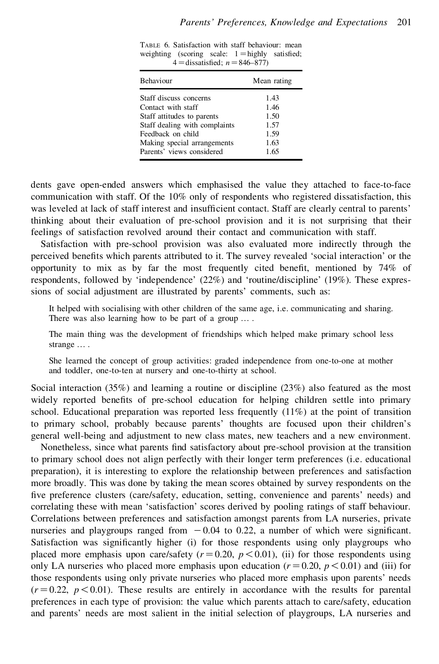| <b>Behaviour</b>              | Mean rating |
|-------------------------------|-------------|
| Staff discuss concerns        | 1.43        |
| Contact with staff            | 1.46        |
| Staff attitudes to parents    | 1.50        |
| Staff dealing with complaints | 1.57        |
| Feedback on child             | 1.59        |
| Making special arrangements   | 1.63        |
| Parents' views considered     | 1.65        |

TABLE 6. Satisfaction with staff behaviour: mean weighting (scoring scale:  $1 =$ highly satisfied;  $4 =$  dissatisfied;  $n = 846 - 877$ )

dents gave open-ended answers which emphasised the value they attached to face-to-face communication with staff. Of the 10% only of respondents who registered dissatisfaction, this was leveled at lack of staff interest and insufficient contact. Staff are clearly central to parents' thinking about their evaluation of pre-school provision and it is not surprising that their feelings of satisfaction revolved around their contact and communication with staff.

Satisfaction with pre-school provision was also evaluated more indirectly through the perceived benefits which parents attributed to it. The survey revealed 'social interaction' or the opportunity to mix as by far the most frequently cited benefit, mentioned by  $74\%$  of respondents, followed by 'independence' (22%) and 'routine/discipline' (19%). These expressions of social adjustment are illustrated by parents' comments, such as:

It helped with socialising with other children of the same age, i.e. communicating and sharing. There was also learning how to be part of a group ....

The main thing was the development of friendships which helped make primary school less strange … .

She learned the concept of group activities: graded independence from one-to-one at mother and toddler, one-to-ten at nursery and one-to-thirty at school.

Social interaction (35%) and learning a routine or discipline (23%) also featured as the most widely reported benefits of pre-school education for helping children settle into primary school. Educational preparation was reported less frequently (11%) at the point of transition to primary school, probably because parents' thoughts are focused upon their children's general well-being and adjustment to new class mates, new teachers and a new environment.

Nonetheless, since what parents find satisfactory about pre-school provision at the transition to primary school does not align perfectly with their longer term preferences (i.e. educational preparation), it is interesting to explore the relationship between preferences and satisfaction more broadly. This was done by taking the mean scores obtained by survey respondents on the five preference clusters (care/safety, education, setting, convenience and parents' needs) and correlating these with mean 'satisfaction' scores derived by pooling ratings of staff behaviour. Correlations between preferences and satisfaction amongst parents from LA nurseries, private nurseries and playgroups ranged from  $-0.04$  to 0.22, a number of which were significant. Satisfaction was significantly higher (i) for those respondents using only playgroups who placed more emphasis upon care/safety  $(r=0.20, p<0.01)$ , (ii) for those respondents using only LA nurseries who placed more emphasis upon education  $(r = 0.20, p < 0.01)$  and (iii) for those respondents using only private nurseries who placed more emphasis upon parents' needs  $(r=0.22, p<0.01)$ . These results are entirely in accordance with the results for parental preferences in each type of provision: the value which parents attach to care/safety, education and parents' needs are most salient in the initial selection of playgroups, LA nurseries and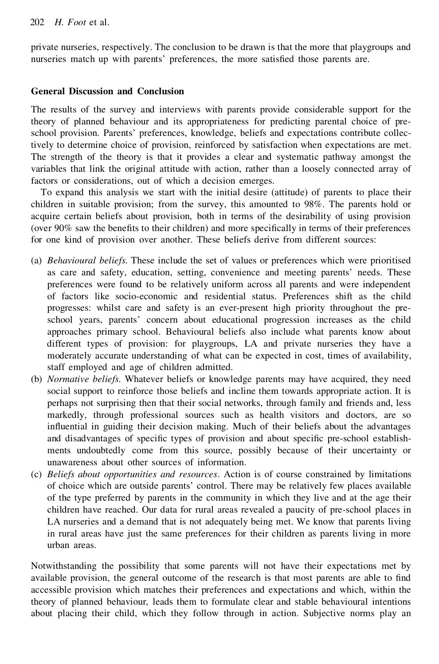private nurseries, respectively. The conclusion to be drawn is that the more that playgroups and nurseries match up with parents' preferences, the more satisfied those parents are.

# **General Discussion and Conclusion**

The results of the survey and interviews with parents provide considerable support for the theory of planned behaviour and its appropriateness for predicting parental choice of preschool provision. Parents' preferences, knowledge, beliefs and expectations contribute collectively to determine choice of provision, reinforced by satisfaction when expectations are met. The strength of the theory is that it provides a clear and systematic pathway amongst the variables that link the original attitude with action, rather than a loosely connected array of factors or considerations, out of which a decision emerges.

To expand this analysis we start with the initial desire (attitude) of parents to place their children in suitable provision; from the survey, this amounted to 98%. The parents hold or acquire certain beliefs about provision, both in terms of the desirability of using provision (over  $90\%$  saw the benefits to their children) and more specifically in terms of their preferences for one kind of provision over another. These beliefs derive from different sources:

- (a) *Behavioural beliefs*. These include the set of values or preferences which were prioritised as care and safety, education, setting, convenience and meeting parents' needs. These preferences were found to be relatively uniform across all parents and were independent of factors like socio-economic and residential status. Preferences shift as the child progresses: whilst care and safety is an ever-present high priority throughout the preschool years, parents' concern about educational progression increases as the child approaches primary school. Behavioural beliefs also include what parents know about different types of provision: for playgroups, LA and private nurseries they have a moderately accurate understanding of what can be expected in cost, times of availability, staff employed and age of children admitted.
- (b) *Normative beliefs*. Whatever beliefs or knowledge parents may have acquired, they need social support to reinforce those beliefs and incline them towards appropriate action. It is perhaps not surprising then that their social networks, through family and friends and, less markedly, through professional sources such as health visitors and doctors, are so in fluential in guiding their decision making. Much of their beliefs about the advantages and disadvantages of specific types of provision and about specific pre-school establishments undoubtedly come from this source, possibly because of their uncertainty or unawareness about other sources of information.
- (c) *Beliefs about opportunities and resources*. Action is of course constrained by limitations of choice which are outside parents' control. There may be relatively few places available of the type preferred by parents in the community in which they live and at the age their children have reached. Our data for rural areas revealed a paucity of pre-school places in LA nurseries and a demand that is not adequately being met. We know that parents living in rural areas have just the same preferences for their children as parents living in more urban areas.

Notwithstanding the possibility that some parents will not have their expectations met by available provision, the general outcome of the research is that most parents are able to find accessible provision which matches their preferences and expectations and which, within the theory of planned behaviour, leads them to formulate clear and stable behavioural intentions about placing their child, which they follow through in action. Subjective norms play an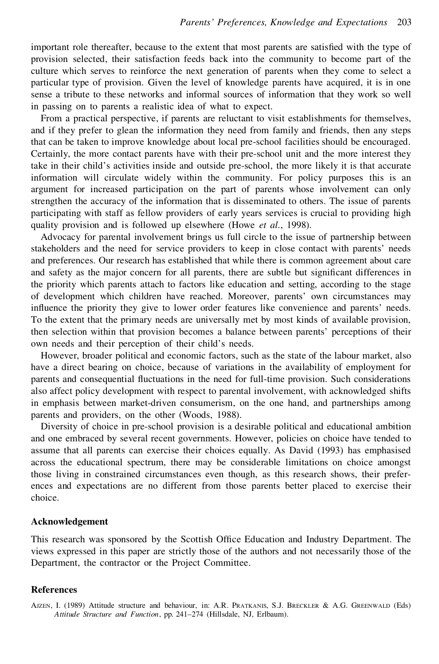important role thereafter, because to the extent that most parents are satisfied with the type of provision selected, their satisfaction feeds back into the community to become part of the culture which serves to reinforce the next generation of parents when they come to select a particular type of provision. Given the level of knowledge parents have acquired, it is in one sense a tribute to these networks and informal sources of information that they work so well in passing on to parents a realistic idea of what to expect.

From a practical perspective, if parents are reluctant to visit establishments for themselves, and if they prefer to glean the information they need from family and friends, then any steps that can be taken to improve knowledge about local pre-school facilities should be encouraged. Certainly, the more contact parents have with their pre-school unit and the more interest they take in their child's activities inside and outside pre-school, the more likely it is that accurate information will circulate widely within the community. For policy purposes this is an argument for increased participation on the part of parents whose involvement can only strengthen the accuracy of the information that is disseminated to others. The issue of parents participating with staff as fellow providers of early years services is crucial to providing high quality provision and is followed up elsewhere (Howe *et al.*, 1998).

Advocacy for parental involvement brings us full circle to the issue of partnership between stakeholders and the need for service providers to keep in close contact with parents' needs and preferences. Our research has established that while there is common agreement about care and safety as the major concern for all parents, there are subtle but significant differences in the priority which parents attach to factors like education and setting, according to the stage of development which children have reached. Moreover, parents' own circumstances may influence the priority they give to lower order features like convenience and parents' needs. To the extent that the primary needs are universally met by most kinds of available provision, then selection within that provision becomes a balance between parents' perceptions of their own needs and their perception of their child's needs.

However, broader political and economic factors, such as the state of the labour market, also have a direct bearing on choice, because of variations in the availability of employment for parents and consequential fluctuations in the need for full-time provision. Such considerations also affect policy development with respect to parental involvement, with acknowledged shifts in emphasis between market-driven consumerism, on the one hand, and partnerships among parents and providers, on the other (Woods, 1988).

Diversity of choice in pre-school provision is a desirable political and educational ambition and one embraced by several recent governments. However, policies on choice have tended to assume that all parents can exercise their choices equally. As David (1993) has emphasised across the educational spectrum, there may be considerable limitations on choice amongst those living in constrained circumstances even though, as this research shows, their preferences and expectations are no different from those parents better placed to exercise their choice.

## **Acknowledgement**

This research was sponsored by the Scottish Office Education and Industry Department. The views expressed in this paper are strictly those of the authors and not necessarily those of the Department, the contractor or the Project Committee.

### **References**

AJZEN, I. (1989) Attitude structure and behaviour, in: A.R. PRATKANIS, S.J. BRECKLER & A.G. GREENWALD (Eds) *Attitude Structure and Function*, pp. 241–274 (Hillsdale, NJ, Erlbaum).